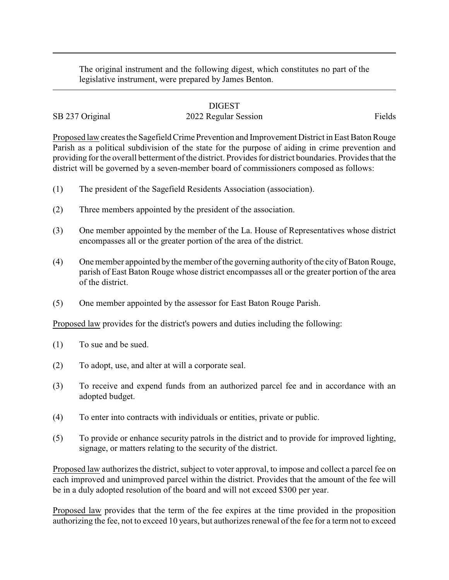The original instrument and the following digest, which constitutes no part of the legislative instrument, were prepared by James Benton.

## DIGEST

## SB 237 Original 2022 Regular Session Fields

Proposed law creates the Sagefield Crime Prevention and Improvement District in East Baton Rouge Parish as a political subdivision of the state for the purpose of aiding in crime prevention and providing for the overall betterment of the district. Provides for district boundaries. Provides that the district will be governed by a seven-member board of commissioners composed as follows:

- (1) The president of the Sagefield Residents Association (association).
- (2) Three members appointed by the president of the association.
- (3) One member appointed by the member of the La. House of Representatives whose district encompasses all or the greater portion of the area of the district.
- (4) One member appointed bythe member of the governing authority of the city of Baton Rouge, parish of East Baton Rouge whose district encompasses all or the greater portion of the area of the district.
- (5) One member appointed by the assessor for East Baton Rouge Parish.

Proposed law provides for the district's powers and duties including the following:

- (1) To sue and be sued.
- (2) To adopt, use, and alter at will a corporate seal.
- (3) To receive and expend funds from an authorized parcel fee and in accordance with an adopted budget.
- (4) To enter into contracts with individuals or entities, private or public.
- (5) To provide or enhance security patrols in the district and to provide for improved lighting, signage, or matters relating to the security of the district.

Proposed law authorizes the district, subject to voter approval, to impose and collect a parcel fee on each improved and unimproved parcel within the district. Provides that the amount of the fee will be in a duly adopted resolution of the board and will not exceed \$300 per year.

Proposed law provides that the term of the fee expires at the time provided in the proposition authorizing the fee, not to exceed 10 years, but authorizes renewal of the fee for a term not to exceed